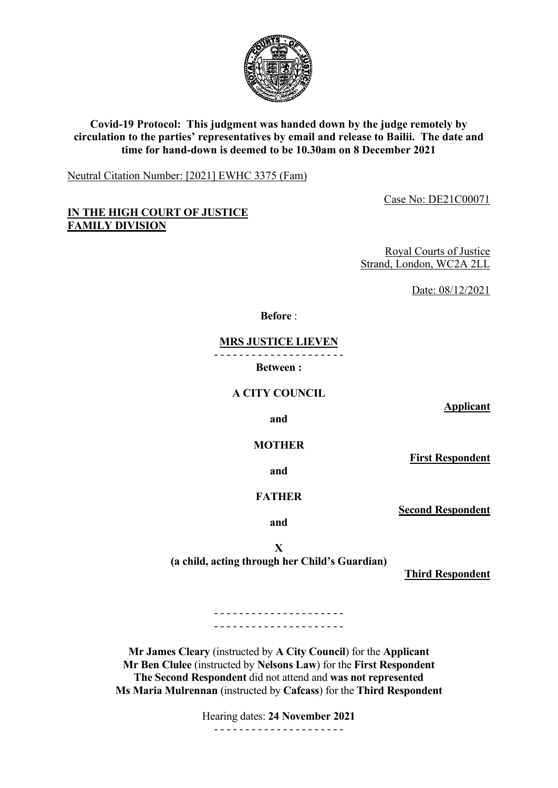

# **Covid-19 Protocol: This judgment was handed down by the judge remotely by circulation to the parties' representatives by email and release to Bailii. The date and time for hand-down is deemed to be 10.30am on 8 December 2021**

Neutral Citation Number: [2021] EWHC 3375 (Fam)

Case No: DE21C00071

## **IN THE HIGH COURT OF JUSTICE FAMILY DIVISION**

Royal Courts of Justice Strand, London, WC2A 2LL

Date: 08/12/2021

**Before** :

**MRS JUSTICE LIEVEN**

- - - - - - - - - - - - - - - - - - - - -

**Between :**

**A CITY COUNCIL**

**Applicant**

**and**

**MOTHER**

**and**

**FATHER**

**Second Respondent**

**First Respondent**

**and**

**X (a child, acting through her Child's Guardian)**

**Third Respondent**

- - - - - - - - - - - - - - - - - - - - - - - - - - - - - - - - - - - - - - - - - -

**Mr James Cleary** (instructed by **A City Council**) for the **Applicant Mr Ben Clulee** (instructed by **Nelsons Law**) for the **First Respondent The Second Respondent** did not attend and **was not represented Ms Maria Mulrennan** (instructed by **Cafcass**) for the **Third Respondent**

> Hearing dates: **24 November 2021** - - - - - - - - - - - - - - - - - - - - -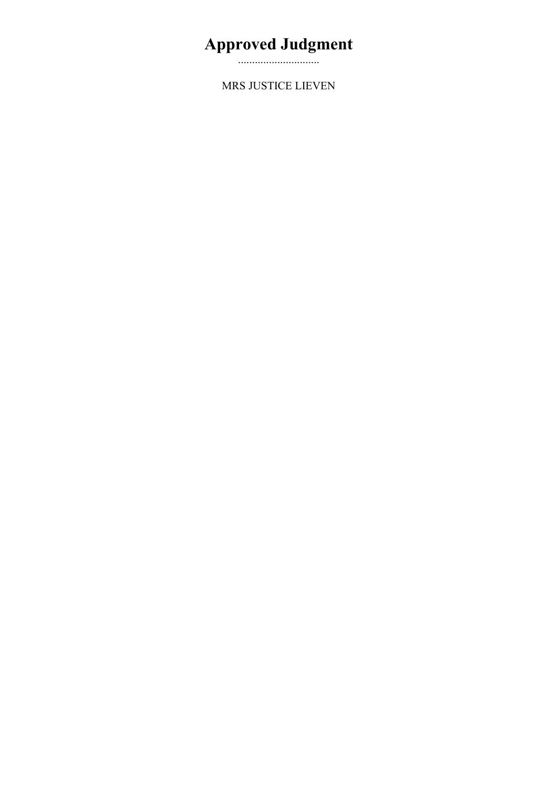# **Approved Judgment**

.............................

MRS JUSTICE LIEVEN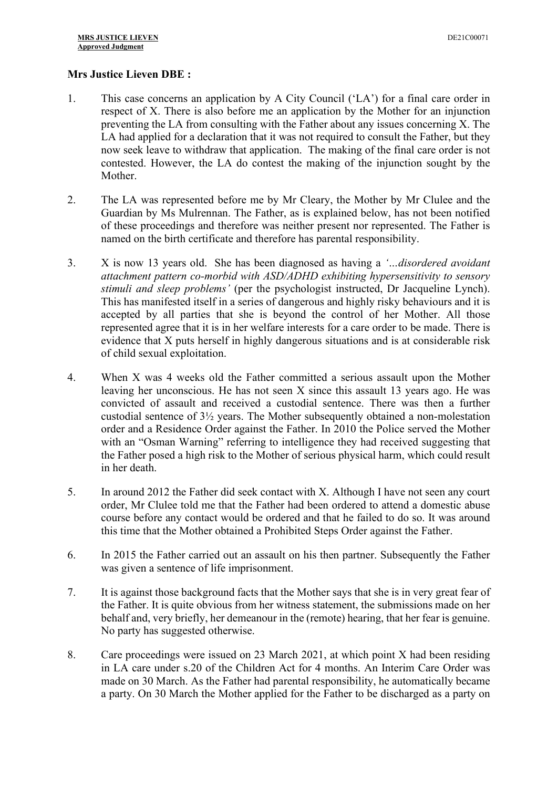# **Mrs Justice Lieven DBE :**

- 1. This case concerns an application by A City Council ('LA') for a final care order in respect of X. There is also before me an application by the Mother for an injunction preventing the LA from consulting with the Father about any issues concerning X. The LA had applied for a declaration that it was not required to consult the Father, but they now seek leave to withdraw that application. The making of the final care order is not contested. However, the LA do contest the making of the injunction sought by the Mother.
- 2. The LA was represented before me by Mr Cleary, the Mother by Mr Clulee and the Guardian by Ms Mulrennan. The Father, as is explained below, has not been notified of these proceedings and therefore was neither present nor represented. The Father is named on the birth certificate and therefore has parental responsibility.
- 3. X is now 13 years old. She has been diagnosed as having a *'…disordered avoidant attachment pattern co-morbid with ASD/ADHD exhibiting hypersensitivity to sensory stimuli and sleep problems'* (per the psychologist instructed, Dr Jacqueline Lynch). This has manifested itself in a series of dangerous and highly risky behaviours and it is accepted by all parties that she is beyond the control of her Mother. All those represented agree that it is in her welfare interests for a care order to be made. There is evidence that X puts herself in highly dangerous situations and is at considerable risk of child sexual exploitation.
- 4. When X was 4 weeks old the Father committed a serious assault upon the Mother leaving her unconscious. He has not seen X since this assault 13 years ago. He was convicted of assault and received a custodial sentence. There was then a further custodial sentence of 3½ years. The Mother subsequently obtained a non-molestation order and a Residence Order against the Father. In 2010 the Police served the Mother with an "Osman Warning" referring to intelligence they had received suggesting that the Father posed a high risk to the Mother of serious physical harm, which could result in her death.
- 5. In around 2012 the Father did seek contact with X. Although I have not seen any court order, Mr Clulee told me that the Father had been ordered to attend a domestic abuse course before any contact would be ordered and that he failed to do so. It was around this time that the Mother obtained a Prohibited Steps Order against the Father.
- 6. In 2015 the Father carried out an assault on his then partner. Subsequently the Father was given a sentence of life imprisonment.
- 7. It is against those background facts that the Mother says that she is in very great fear of the Father. It is quite obvious from her witness statement, the submissions made on her behalf and, very briefly, her demeanour in the (remote) hearing, that her fear is genuine. No party has suggested otherwise.
- 8. Care proceedings were issued on 23 March 2021, at which point X had been residing in LA care under s.20 of the Children Act for 4 months. An Interim Care Order was made on 30 March. As the Father had parental responsibility, he automatically became a party. On 30 March the Mother applied for the Father to be discharged as a party on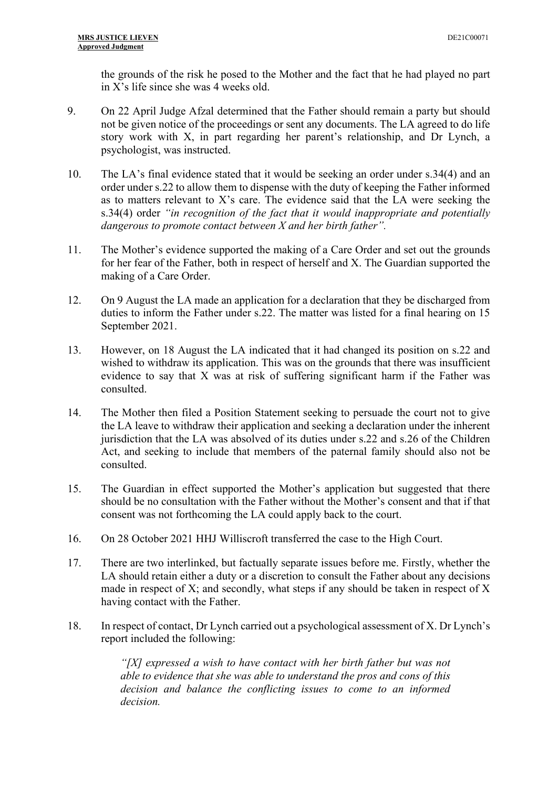the grounds of the risk he posed to the Mother and the fact that he had played no part in X's life since she was 4 weeks old.

- 9. On 22 April Judge Afzal determined that the Father should remain a party but should not be given notice of the proceedings or sent any documents. The LA agreed to do life story work with X, in part regarding her parent's relationship, and Dr Lynch, a psychologist, was instructed.
- 10. The LA's final evidence stated that it would be seeking an order under s.34(4) and an order under s.22 to allow them to dispense with the duty of keeping the Father informed as to matters relevant to X's care. The evidence said that the LA were seeking the s.34(4) order *"in recognition of the fact that it would inappropriate and potentially dangerous to promote contact between X and her birth father".*
- 11. The Mother's evidence supported the making of a Care Order and set out the grounds for her fear of the Father, both in respect of herself and X. The Guardian supported the making of a Care Order.
- 12. On 9 August the LA made an application for a declaration that they be discharged from duties to inform the Father under s.22. The matter was listed for a final hearing on 15 September 2021.
- 13. However, on 18 August the LA indicated that it had changed its position on s.22 and wished to withdraw its application. This was on the grounds that there was insufficient evidence to say that X was at risk of suffering significant harm if the Father was consulted.
- 14. The Mother then filed a Position Statement seeking to persuade the court not to give the LA leave to withdraw their application and seeking a declaration under the inherent jurisdiction that the LA was absolved of its duties under s.22 and s.26 of the Children Act, and seeking to include that members of the paternal family should also not be consulted.
- 15. The Guardian in effect supported the Mother's application but suggested that there should be no consultation with the Father without the Mother's consent and that if that consent was not forthcoming the LA could apply back to the court.
- 16. On 28 October 2021 HHJ Williscroft transferred the case to the High Court.
- 17. There are two interlinked, but factually separate issues before me. Firstly, whether the LA should retain either a duty or a discretion to consult the Father about any decisions made in respect of X; and secondly, what steps if any should be taken in respect of X having contact with the Father.
- 18. In respect of contact, Dr Lynch carried out a psychological assessment of X. Dr Lynch's report included the following:

*"[X] expressed a wish to have contact with her birth father but was not able to evidence that she was able to understand the pros and cons of this decision and balance the conflicting issues to come to an informed decision.*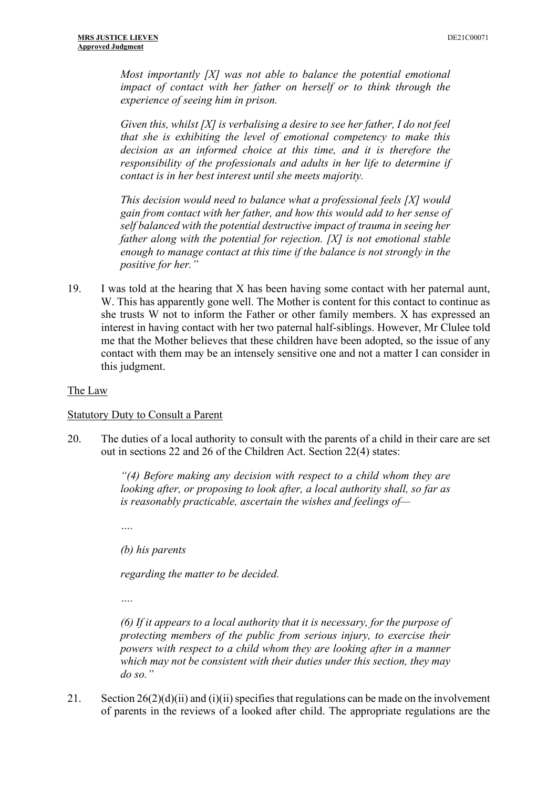*Most importantly [X] was not able to balance the potential emotional impact of contact with her father on herself or to think through the experience of seeing him in prison.* 

*Given this, whilst [X] is verbalising a desire to see her father, I do not feel that she is exhibiting the level of emotional competency to make this decision as an informed choice at this time, and it is therefore the responsibility of the professionals and adults in her life to determine if contact is in her best interest until she meets majority.*

*This decision would need to balance what a professional feels [X] would gain from contact with her father, and how this would add to her sense of self balanced with the potential destructive impact of trauma in seeing her father along with the potential for rejection. [X] is not emotional stable enough to manage contact at this time if the balance is not strongly in the positive for her."* 

19. I was told at the hearing that X has been having some contact with her paternal aunt, W. This has apparently gone well. The Mother is content for this contact to continue as she trusts W not to inform the Father or other family members. X has expressed an interest in having contact with her two paternal half-siblings. However, Mr Clulee told me that the Mother believes that these children have been adopted, so the issue of any contact with them may be an intensely sensitive one and not a matter I can consider in this judgment.

#### The Law

#### Statutory Duty to Consult a Parent

20. The duties of a local authority to consult with the parents of a child in their care are set out in sections 22 and 26 of the Children Act. Section 22(4) states:

> *"(4) Before making any decision with respect to a child whom they are looking after, or proposing to look after, a local authority shall, so far as is reasonably practicable, ascertain the wishes and feelings of—*

*….*

*(b) his parents* 

*regarding the matter to be decided.*

*….*

*(6) If it appears to a local authority that it is necessary, for the purpose of protecting members of the public from serious injury, to exercise their powers with respect to a child whom they are looking after in a manner which may not be consistent with their duties under this section, they may do so."* 

21. Section  $26(2)(d)(ii)$  and  $(i)(ii)$  specifies that regulations can be made on the involvement of parents in the reviews of a looked after child. The appropriate regulations are the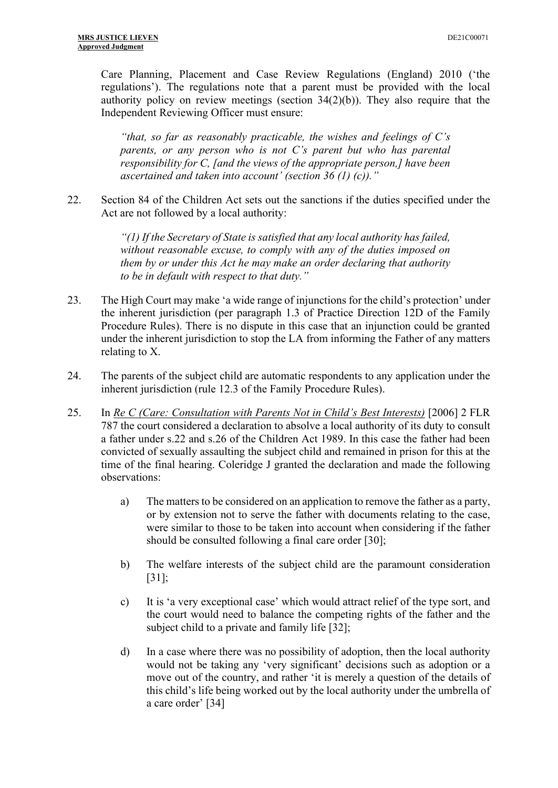Care Planning, Placement and Case Review Regulations (England) 2010 ('the regulations'). The regulations note that a parent must be provided with the local authority policy on review meetings (section  $34(2)(b)$ ). They also require that the Independent Reviewing Officer must ensure:

*"that, so far as reasonably practicable, the wishes and feelings of C's parents, or any person who is not C's parent but who has parental responsibility for C, [and the views of the appropriate person,] have been ascertained and taken into account' (section 36 (1) (c))."* 

22. Section 84 of the Children Act sets out the sanctions if the duties specified under the Act are not followed by a local authority:

> *"(1) If the Secretary of State is satisfied that any local authority has failed, without reasonable excuse, to comply with any of the duties imposed on them by or under this Act he may make an order declaring that authority to be in default with respect to that duty."*

- 23. The High Court may make 'a wide range of injunctions for the child's protection' under the inherent jurisdiction (per paragraph 1.3 of Practice Direction 12D of the Family Procedure Rules). There is no dispute in this case that an injunction could be granted under the inherent jurisdiction to stop the LA from informing the Father of any matters relating to X.
- 24. The parents of the subject child are automatic respondents to any application under the inherent jurisdiction (rule 12.3 of the Family Procedure Rules).
- 25. In *Re C (Care: Consultation with Parents Not in Child's Best Interests)* [2006] 2 FLR 787 the court considered a declaration to absolve a local authority of its duty to consult a father under s.22 and s.26 of the Children Act 1989. In this case the father had been convicted of sexually assaulting the subject child and remained in prison for this at the time of the final hearing. Coleridge J granted the declaration and made the following observations:
	- a) The matters to be considered on an application to remove the father as a party, or by extension not to serve the father with documents relating to the case, were similar to those to be taken into account when considering if the father should be consulted following a final care order [30];
	- b) The welfare interests of the subject child are the paramount consideration [31];
	- c) It is 'a very exceptional case' which would attract relief of the type sort, and the court would need to balance the competing rights of the father and the subject child to a private and family life [32];
	- d) In a case where there was no possibility of adoption, then the local authority would not be taking any 'very significant' decisions such as adoption or a move out of the country, and rather 'it is merely a question of the details of this child's life being worked out by the local authority under the umbrella of a care order' [34]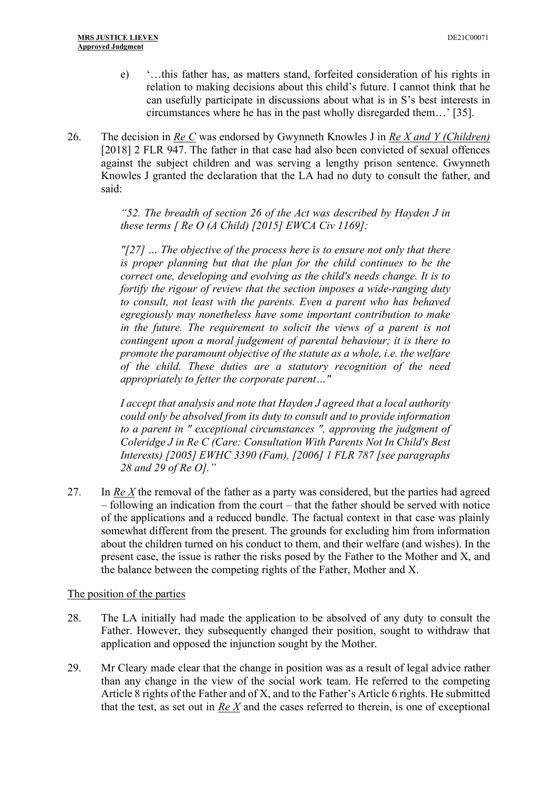- e) '…this father has, as matters stand, forfeited consideration of his rights in relation to making decisions about this child's future. I cannot think that he can usefully participate in discussions about what is in S's best interests in circumstances where he has in the past wholly disregarded them…' [35].
- 26. The decision in *Re C* was endorsed by Gwynneth Knowles J in *Re X and Y (Children)* [2018] 2 FLR 947. The father in that case had also been convicted of sexual offences against the subject children and was serving a lengthy prison sentence. Gwynneth Knowles J granted the declaration that the LA had no duty to consult the father, and said:

*"52. The breadth of section 26 of the Act was described by Hayden J in these terms [ Re O (A Child) [2015] EWCA Civ 1169]:* 

*"[27] … The objective of the process here is to ensure not only that there is proper planning but that the plan for the child continues to be the correct one, developing and evolving as the child's needs change. It is to fortify the rigour of review that the section imposes a wide-ranging duty to consult, not least with the parents. Even a parent who has behaved egregiously may nonetheless have some important contribution to make in the future. The requirement to solicit the views of a parent is not contingent upon a moral judgement of parental behaviour; it is there to promote the paramount objective of the statute as a whole, i.e. the welfare of the child. These duties are a statutory recognition of the need appropriately to fetter the corporate parent…"* 

*I accept that analysis and note that Hayden J agreed that a local authority could only be absolved from its duty to consult and to provide information to a parent in " exceptional circumstances ", approving the judgment of Coleridge J in Re C (Care: Consultation With Parents Not In Child's Best Interests) [2005] EWHC 3390 (Fam), [2006] 1 FLR 787 [see paragraphs 28 and 29 of Re O]."* 

27. In *Re X* the removal of the father as a party was considered, but the parties had agreed – following an indication from the court – that the father should be served with notice of the applications and a reduced bundle. The factual context in that case was plainly somewhat different from the present. The grounds for excluding him from information about the children turned on his conduct to them, and their welfare (and wishes). In the present case, the issue is rather the risks posed by the Father to the Mother and X, and the balance between the competing rights of the Father, Mother and X.

#### The position of the parties

- 28. The LA initially had made the application to be absolved of any duty to consult the Father. However, they subsequently changed their position, sought to withdraw that application and opposed the injunction sought by the Mother.
- 29. Mr Cleary made clear that the change in position was as a result of legal advice rather than any change in the view of the social work team. He referred to the competing Article 8 rights of the Father and of X, and to the Father's Article 6 rights. He submitted that the test, as set out in *Re X* and the cases referred to therein, is one of exceptional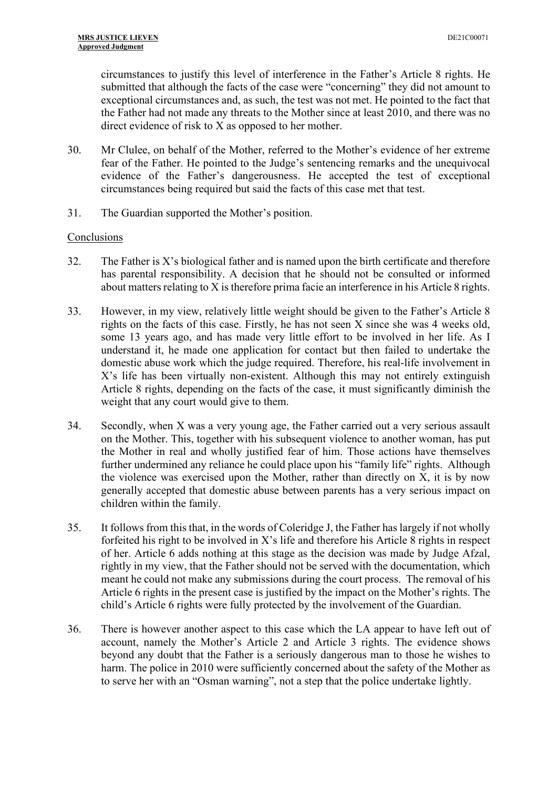circumstances to justify this level of interference in the Father's Article 8 rights. He submitted that although the facts of the case were "concerning" they did not amount to exceptional circumstances and, as such, the test was not met. He pointed to the fact that the Father had not made any threats to the Mother since at least 2010, and there was no direct evidence of risk to X as opposed to her mother.

- 30. Mr Clulee, on behalf of the Mother, referred to the Mother's evidence of her extreme fear of the Father. He pointed to the Judge's sentencing remarks and the unequivocal evidence of the Father's dangerousness. He accepted the test of exceptional circumstances being required but said the facts of this case met that test.
- 31. The Guardian supported the Mother's position.

### Conclusions

- $32.$  The Father is X's biological father and is named upon the birth certificate and therefore has parental responsibility. A decision that he should not be consulted or informed about matters relating to X is therefore prima facie an interference in his Article 8 rights.
- 33. However, in my view, relatively little weight should be given to the Father's Article 8 rights on the facts of this case. Firstly, he has not seen X since she was 4 weeks old, some 13 years ago, and has made very little effort to be involved in her life. As I understand it, he made one application for contact but then failed to undertake the domestic abuse work which the judge required. Therefore, his real-life involvement in X's life has been virtually non-existent. Although this may not entirely extinguish Article 8 rights, depending on the facts of the case, it must significantly diminish the weight that any court would give to them.
- 34. Secondly, when X was a very young age, the Father carried out a very serious assault on the Mother. This, together with his subsequent violence to another woman, has put the Mother in real and wholly justified fear of him. Those actions have themselves further undermined any reliance he could place upon his "family life" rights. Although the violence was exercised upon the Mother, rather than directly on X, it is by now generally accepted that domestic abuse between parents has a very serious impact on children within the family.
- 35. It follows from this that, in the words of Coleridge J, the Father has largely if not wholly forfeited his right to be involved in X's life and therefore his Article 8 rights in respect of her. Article 6 adds nothing at this stage as the decision was made by Judge Afzal, rightly in my view, that the Father should not be served with the documentation, which meant he could not make any submissions during the court process. The removal of his Article 6 rights in the present case is justified by the impact on the Mother's rights. The child's Article 6 rights were fully protected by the involvement of the Guardian.
- 36. There is however another aspect to this case which the LA appear to have left out of account, namely the Mother's Article 2 and Article 3 rights. The evidence shows beyond any doubt that the Father is a seriously dangerous man to those he wishes to harm. The police in 2010 were sufficiently concerned about the safety of the Mother as to serve her with an "Osman warning", not a step that the police undertake lightly.